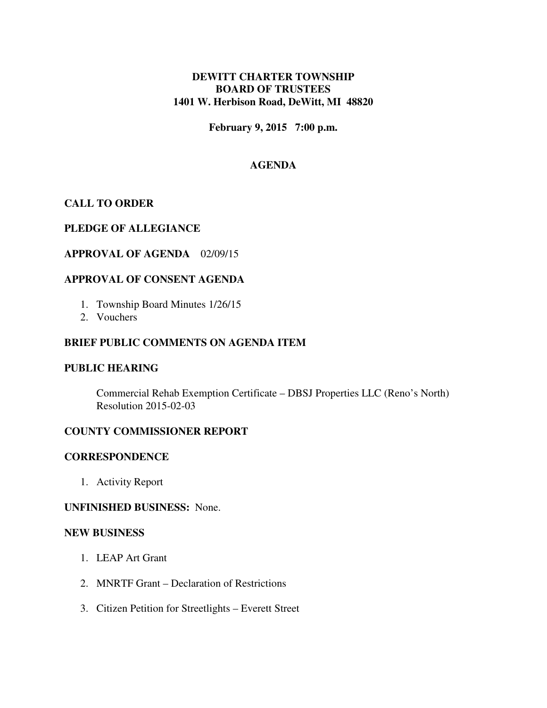# **DEWITT CHARTER TOWNSHIP BOARD OF TRUSTEES 1401 W. Herbison Road, DeWitt, MI 48820**

**February 9, 2015 7:00 p.m.** 

# **AGENDA**

## **CALL TO ORDER**

### **PLEDGE OF ALLEGIANCE**

### **APPROVAL OF AGENDA** 02/09/15

### **APPROVAL OF CONSENT AGENDA**

- 1. Township Board Minutes 1/26/15
- 2. Vouchers

# **BRIEF PUBLIC COMMENTS ON AGENDA ITEM**

#### **PUBLIC HEARING**

 Commercial Rehab Exemption Certificate – DBSJ Properties LLC (Reno's North) Resolution 2015-02-03

#### **COUNTY COMMISSIONER REPORT**

#### **CORRESPONDENCE**

1. Activity Report

#### **UNFINISHED BUSINESS:** None.

#### **NEW BUSINESS**

- 1. LEAP Art Grant
- 2. MNRTF Grant Declaration of Restrictions
- 3. Citizen Petition for Streetlights Everett Street